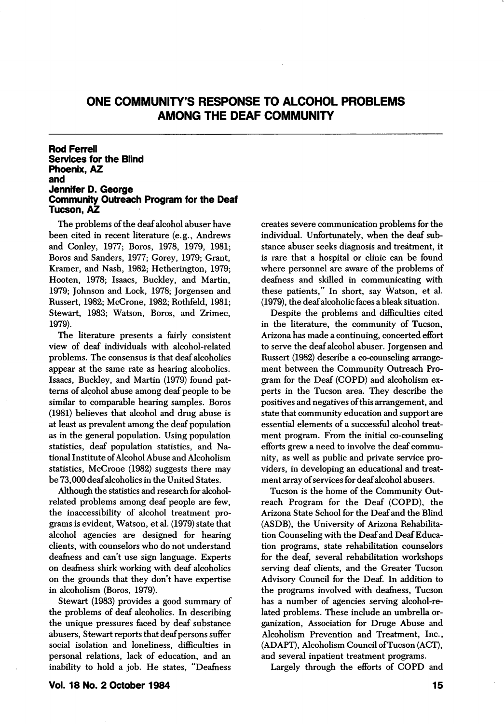# ONE COMMUNITY'S RESPONSE TO ALCOHOL PROBLEMS AMONG THE DEAF COMMUNITY

## Rod Ferrell Services for the Blind Phoenix, AZ and Jennifer D. George Community Outreach Program for the Deaf Tucson, AZ

The problems of the deaf alcohol abuser have been cited in recent literature (e.g., Andrews and Conley, 1977; Boros, 1978, 1979, 1981; Boros and Sanders, 1977; Gorey, 1979; Grant, Kramer, and Nash, 1982; Hetherington, 1979; Hooten, 1978; Isaacs, Buckley, and Martin, 1979; Johnson and Lock, 1978; Jorgensen and Russert, 1982; McGrone, 1982; Rothfeld, 1981; Stewart, 1983; Watson, Boros, and Zrimec, 1979).

The literature presents a fairly consistent view of deaf individuals with alcohol-related problems. The consensus is that deaf alcoholics appear at the same rate as hearing alcoholics. Isaacs, Buckley, and Martin (1979) found pat terns of alcohol abuse among deaf people to be similar to comparable hearing samples. Boros (1981) believes that alcohol and drug abuse is at least as prevalent among the deaf population as in the general population. Using population statistics, deaf population statistics, and Na tional Institute of Alcohol Abuse and Alcoholism statistics, McGrone (1982) suggests there may be 73,000 deaf alcoholics in the United States.

Although the statistics and research for alcoholrelated problems among deaf people are few, the inaccessibility of alcohol treatment pro grams is evident, Watson, et al. (1979) state that alcohol agencies are designed for hearing clients, with counselors who do not understand deafness and can't use sign language. Experts on deafness shirk working with deaf alcoholics on the grounds that they don't have expertise in alcoholism (Boros, 1979).

Stewart (1983) provides a good summary of the problems of deaf alcoholics. In describing the unique pressures faced by deaf substance abusers, Stewart reports that deaf persons suffer social isolation and loneliness, difficulties in personal relations, lack of education, and an inability to hold a job. He states, "Deafness creates severe communication problems for the individual. Unfortunately, when the deaf sub stance abuser seeks diagnosis and treatment, it is rare that a hospital or clinic can be found where personnel are aware of the problems of deafness and skilled in communicating with these patients," In short, say Watson, et al. (1979), the deaf alcoholic faces a bleak situation.

Despite the problems and difficulties cited in the literature, the community of Tucson, Arizona has made a continuing, concerted effort to serve the deaf alcohol abuser. Jorgensen and Russert (1982) describe a co-counseling arrange ment between the Community Outreach Pro gram for the Deaf (GOPD) and alcoholism ex perts in the Tucson area. They describe the positives and negatives of this arrangement, and state that community education and support are essential elements of a successful alcohol treat ment program. From the initial co-counseling efforts grew a need to involve the deaf commu nity, as well as public and private service pro viders, in developing an educational and treat ment array of services for deaf alcohol abusers.

Tucson is the home of the Community Out reach Program for the Deaf (GOPD), the Arizona State School for the Deaf and the Blind (ASDB), the University of Arizona Rehabilita tion Counseling with the Deaf and Deaf Educa tion programs, state rehabilitation counselors for the deaf, several rehabilitation workshops serving deaf clients, and the Greater Tucson Advisory Council for the Deaf. In addition to the programs involved with deafness, Tucson has a number of agencies serving alcohol-re lated problems. These include an umbrella or ganization, Association for Druge Abuse and Alcoholism Prevention and Treatment, Inc., (ADAPT), Alcoholism Council of Tucson (ACT), and several inpatient treatment programs.

Largely through the efforts of COPD and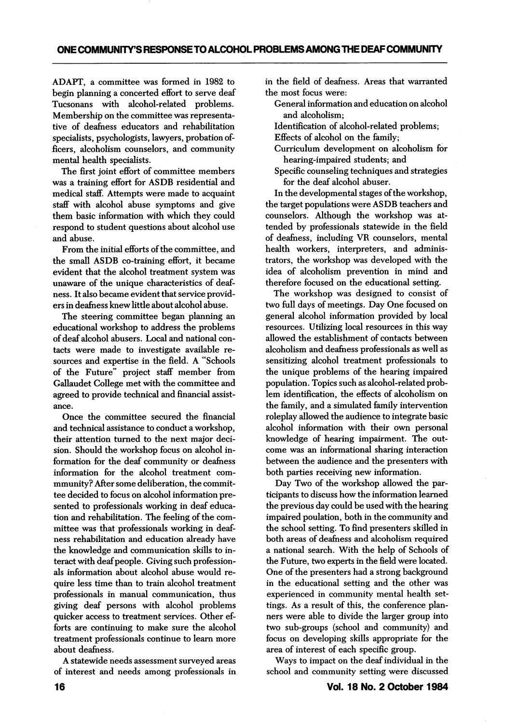ADAPT, a committee was formed in 1982 to begin planning a concerted effort to serve deaf Tucsonans with alcohol-related problems. Membership on the committee was representa tive of deafness educators and rehabilitation specialists, psychologists, lawyers, probation of ficers, alcoholism counselors, and community mental health specialists.

The first joint effort of committee members was a training effort for ASDB residential and medical staff. Attempts were made to acquaint staff with alcohol abuse symptoms and give them basic information with which they could respond to student questions about alcohol use and abuse.

From the initial efforts of the committee, and the small ASDB co-training effort, it became evident that the alcohol treatment system was unaware of the unique characteristics of deaf ness. It also became evident that service provid ers in deafness knew little about alcohol abuse.

The steering committee began planning an educational workshop to address the problems of deaf alcohol abusers. Local and national con tacts were made to investigate available re sources and expertise in the field. A "Schools of the Future" project staff member from Callaudet College met with the committee and agreed to provide technical and financial assist ance.

Once the committee secured the financial and technical assistance to conduct a workshop, their attention turned to the next major deci sion. Should the workshop focus on alcohol in formation for the deaf community or deafness information for the alcohol treatment commmunity? After some deliberation, the commit tee decided to focus on alcohol information pre sented to professionals working in deaf educa tion and rehabilitation. The feeling of the com mittee was that professionals working in deaf ness rehabilitation and education already have the knowledge and communication skills to in teract with deaf people. Giving such profession als information about alcohol abuse would re quire less time than to train alcohol treatment professionals in manual communication, thus giving deaf persons with alcohol problems quicker access to treatment services. Other ef forts are continuing to make sure the alcohol treatment professionals continue to leam more about deafness.

A statewide needs assessment surveyed areas of interest and needs among professionals in

in the field of deafness. Areas that warranted the most focus were:

- General information and education on alcohol and alcoholism;
- Identification of alcohol-related problems;
- Effects of alcohol on the family;
- Gurriculum development on alcoholism for hearing-impaired students; and
- Specific counseling techniques and strategies for the deaf alcohol abuser.

In the developmental stages of the workshop, the target populations were ASDB teachers and counselors. Although the workshop was at tended by professionals statewide in the field of deafness, including VR counselors, mental health workers, interpreters, and adminis trators, the workshop was developed with the idea of alcoholism prevention in mind and therefore focused on the educational setting.

The workshop was designed to consist of two full days of meetings. Day One focused on general alcohol information provided by local resources. Utilizing local resources in this way allowed the establishment of contacts between alcoholism and deafness professionals as well as sensitizing alcohol treatment professionals to the unique problems of the hearing impaired population. Topics such as alcohol-related prob lem identification, the effects of alcoholism on the family, and a simulated family intervention roleplay allowed the audience to integrate basic alcohol information with their own personal knowledge of hearing impairment. The out come was an informational sharing interaction between the audience and the presenters with both parties receiving new information.

Day Two of the workshop allowed the par ticipants to discuss how the information learned the previous day could be used with the hearing impaired poulation, both in the community and the school setting. To find presenters skilled in both areas of deafness and alcoholism required a national search. With the help of Schools of the Future, two experts in the field were located. One of the presenters had a strong background in the educational setting and the other was experienced in community mental health set tings. As a result of this, the conference plan ners were able to divide the larger group into two sub-groups (school and community) and focus on developing skills appropriate for the area of interest of each specific group.

Ways to impact on the deaf individual in the school and community setting were discussed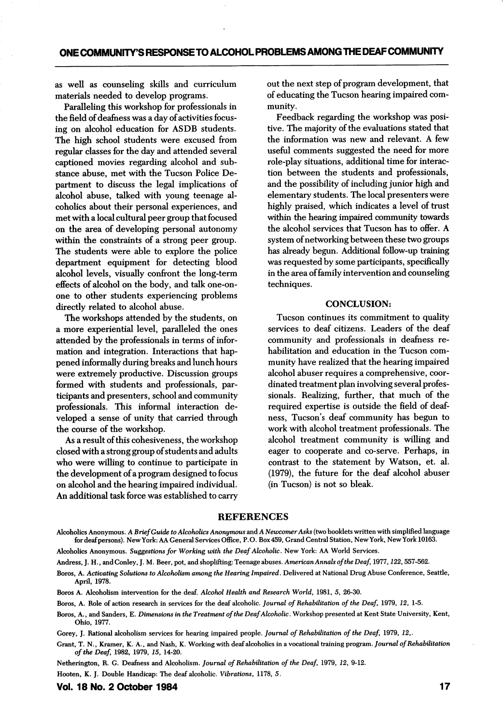as well as counseling skills and curriculum materials needed to develop programs.

Paralleling this workshop for professionals in the field of deafness was a day of activities focus ing on alcohol education for ASDB students. The high school students were excused from regular classes for the day and attended several captioned movies regarding alcohol and sub stance abuse, met with the Tucson Police De partment to discuss the legal implications of alcohol abuse, talked with young teenage al coholics about their personal experiences, and met with a local cultural peer group that focused on the area of developing personal autonomy within the constraints of a strong peer group. The students were able to explore the police department equipment for detecting blood alcohol levels, visually confront the long-term effects of alcohol on the body, and talk one-onone to other students experiencing problems directly related to alcohol abuse.

The workshops attended by the students, on a more experiential level, paralleled the ones attended by the professionals in terms of infor mation and integration. Interactions that hap pened informally during breaks and lunch hours were extremely productive. Discussion groups formed with students and professionals, par ticipants and presenters, school and community professionals. This informal interaction de veloped a sense of unity that carried through the course of the workshop.

As a result of this cohesiveness, the workshop closed with a strong group of students and adults who were willing to continue to participate in the development of a program designed to focus on alcohol and the hearing impaired individual. An additional task force was established to carry out the next step of program development, that of educating the Tucson hearing impaired com munity.

Feedback regarding the workshop was posi tive. The majority of the evaluations stated that the information was new and relevant. A few useful comments suggested the need for more role-play situations, additional time for interac tion between the students and professionals, and the possibility of including junior high and elementary students. The local presenters were highly praised, which indicates a level of trust within the hearing impaired community towards the alcohol services that Tucson has to offer. A system of networking between these two groups has already begun. Additional follow-up training was requested by some participants, specifically in the area of family intervention and counseling techniques.

### CONCLUSION:

Tucson continues its commitment to quality services to deaf citizens. Leaders of the deaf community and professionals in deafness re habilitation and education in the Tucson com munity have realized that the hearing impaired alcohol abuser requires a comprehensive, coor dinated treatment plan involving several profes sionals. Realizing, further, that much of the required expertise is outside the field of deaf ness, Tucson's deaf community has begun to work with alcohol treatment professionals. The alcohol treatment community is willing and eager to cooperate and co-serve. Perhaps, in contrast to the statement by Watson, et. al. (1979), the future for the deaf alcohol abuser (in Tucson) is not so bleak.

#### REFERENCES

Alcoholics Anonymous. A Brief Guide to Alcoholics Anonymous and A Newcomer Asks (two booklets written with simplified language for deaf persons). New York: AA General Services Office, P.O. Box 459, Grand Central Station, New York, New York 10163.

Alcoholics Anonymous. Suggestions for Working with the Deaf Alcoholic. New York: AA World Services.

Andress, J. H., and Conley, J. M. Beer, pot, and shoplifting: Teenage abuses. American Annals of the Deaf, 1977, 122, 557-562.

Boros, A. Activating Solutions to Alcoholism among the Hearing Impaired. Delivered at National Drug Abuse Conference, Seattle, April, 1978.

Boros A. Alcohohsm intervention for the deaf. Alcohol Health and Research World, 1981, 5, 26-30.

Boros, A. Role of action research in services for the deaf alcoholic. Journal of Rehabilitation of the Deaf, 1979, 12, 1-5.

Boros, A., and Sanders, E. Dimensions in the Treatment of the Deaf Alcoholic. Workshop presented at Kent State University, Kent, Ohio, 1977.

Gorey, J. Rational alcoholism services for hearing impaired people. Journal of Rehabilitation of the Deaf, 1979, 12,.

Grant, T. N., Kramer, K. A., and Nash, K. Working with deaf alcoholics in a vocational training program. Journal of Rehabilitation of the Deaf, 1982, 1979, 15, 14-20.

Netherington, R. G. Deafness and Alcoholism. Journal of Rehabilitation of the Deaf, 1979, 12, 9-12.

Hooten, K. J. Double Handicap: The deaf alcoholic. Vibrations, 1178, 5.